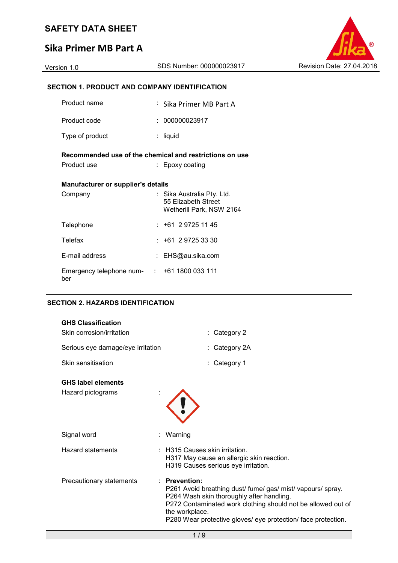## **Sika Primer MB Part A**



### **SECTION 1. PRODUCT AND COMPANY IDENTIFICATION**

| Product name                                             | : Sika Primer MB Part A                                                       |
|----------------------------------------------------------|-------------------------------------------------------------------------------|
| Product code                                             | : 000000023917                                                                |
| Type of product                                          | : liquid                                                                      |
| Recommended use of the chemical and restrictions on use  |                                                                               |
| Product use                                              | : Epoxy coating                                                               |
| <b>Manufacturer or supplier's details</b>                |                                                                               |
| Company                                                  | : Sika Australia Pty. Ltd.<br>55 Elizabeth Street<br>Wetherill Park, NSW 2164 |
| Telephone                                                | $: +61297251145$                                                              |
| <b>Telefax</b>                                           | $: +61 \ 2 \ 9725 \ 33 \ 30$                                                  |
| E-mail address                                           | : EHS@au.sika.com                                                             |
| Emergency telephone num- $\cdot$ +61 1800 033 111<br>ber |                                                                               |

#### **SECTION 2. HAZARDS IDENTIFICATION**

| <b>GHS Classification</b><br>Skin corrosion/irritation | : Category 2                                                                                                                                                                                                                                                                  |
|--------------------------------------------------------|-------------------------------------------------------------------------------------------------------------------------------------------------------------------------------------------------------------------------------------------------------------------------------|
| Serious eye damage/eye irritation                      | : Category 2A                                                                                                                                                                                                                                                                 |
| Skin sensitisation                                     | : Category 1                                                                                                                                                                                                                                                                  |
| <b>GHS label elements</b><br>Hazard pictograms         |                                                                                                                                                                                                                                                                               |
| Signal word                                            | Warning                                                                                                                                                                                                                                                                       |
| <b>Hazard statements</b>                               | : H315 Causes skin irritation.<br>H317 May cause an allergic skin reaction.<br>H319 Causes serious eye irritation.                                                                                                                                                            |
| Precautionary statements                               | $:$ Prevention:<br>P261 Avoid breathing dust/ fume/gas/ mist/ vapours/ spray.<br>P264 Wash skin thoroughly after handling.<br>P272 Contaminated work clothing should not be allowed out of<br>the workplace.<br>P280 Wear protective gloves/ eye protection/ face protection. |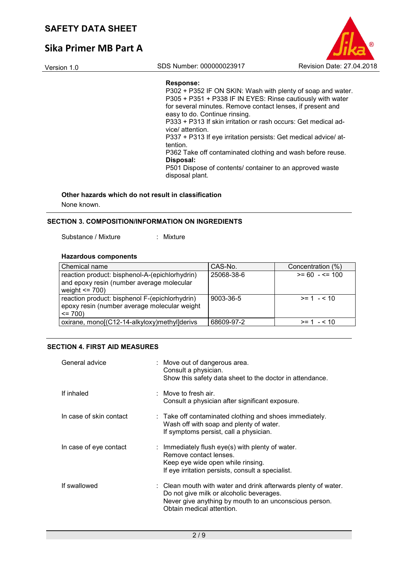# **Sika Primer MB Part A**



#### **Response:**

P302 + P352 IF ON SKIN: Wash with plenty of soap and water. P305 + P351 + P338 IF IN EYES: Rinse cautiously with water for several minutes. Remove contact lenses, if present and easy to do. Continue rinsing. P333 + P313 If skin irritation or rash occurs: Get medical advice/ attention. P337 + P313 If eye irritation persists: Get medical advice/ attention. P362 Take off contaminated clothing and wash before reuse. **Disposal:**  P501 Dispose of contents/ container to an approved waste disposal plant.

#### **Other hazards which do not result in classification**

None known.

#### **SECTION 3. COMPOSITION/INFORMATION ON INGREDIENTS**

Substance / Mixture : Mixture

### **Hazardous components**

| Chemical name                                                                                                     | CAS-No.    | Concentration (%) |
|-------------------------------------------------------------------------------------------------------------------|------------|-------------------|
| reaction product: bisphenol-A-(epichlorhydrin)<br>and epoxy resin (number average molecular<br>weight $\leq$ 700) | 25068-38-6 | $>= 60 - \le 100$ |
| reaction product: bisphenol F-(epichlorhydrin)<br>epoxy resin (number average molecular weight<br>$= 700$         | 9003-36-5  | $>= 1 - 10$       |
| oxirane, mono[(C12-14-alkyloxy)methyl]derivs                                                                      | 68609-97-2 | $>= 1 - 10$       |

#### **SECTION 4. FIRST AID MEASURES**

| General advice          | : Move out of dangerous area.<br>Consult a physician.<br>Show this safety data sheet to the doctor in attendance.                                                                                 |
|-------------------------|---------------------------------------------------------------------------------------------------------------------------------------------------------------------------------------------------|
| If inhaled              | $\therefore$ Move to fresh air.<br>Consult a physician after significant exposure.                                                                                                                |
| In case of skin contact | $\therefore$ Take off contaminated clothing and shoes immediately.<br>Wash off with soap and plenty of water.<br>If symptoms persist, call a physician.                                           |
| In case of eye contact  | : Immediately flush eye(s) with plenty of water.<br>Remove contact lenses.<br>Keep eye wide open while rinsing.<br>If eye irritation persists, consult a specialist.                              |
| If swallowed            | : Clean mouth with water and drink afterwards plenty of water.<br>Do not give milk or alcoholic beverages.<br>Never give anything by mouth to an unconscious person.<br>Obtain medical attention. |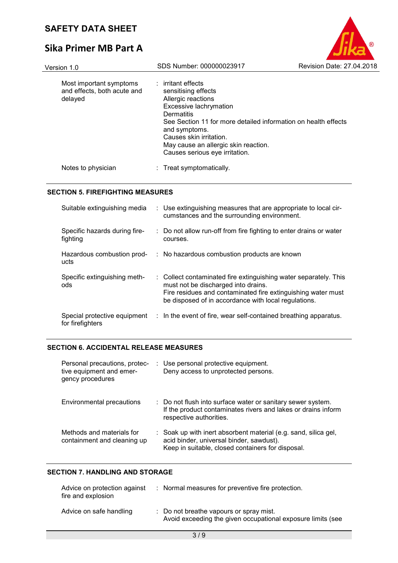# **Sika Primer MB Part A**

| Version 1.0                                                       | SDS Number: 000000023917                                                                                                                                                                                                                                                                                 | Revision Date: 27.04.2018 |
|-------------------------------------------------------------------|----------------------------------------------------------------------------------------------------------------------------------------------------------------------------------------------------------------------------------------------------------------------------------------------------------|---------------------------|
| Most important symptoms<br>and effects, both acute and<br>delayed | $:$ irritant effects<br>sensitising effects<br>Allergic reactions<br><b>Excessive lachrymation</b><br>Dermatitis<br>See Section 11 for more detailed information on health effects<br>and symptoms.<br>Causes skin irritation.<br>May cause an allergic skin reaction.<br>Causes serious eye irritation. |                           |
| Notes to physician                                                | : Treat symptomatically.                                                                                                                                                                                                                                                                                 |                           |

®

#### **SECTION 5. FIREFIGHTING MEASURES**

| Suitable extinguishing media                     | : Use extinguishing measures that are appropriate to local cir-<br>cumstances and the surrounding environment.                                                                                                                  |  |
|--------------------------------------------------|---------------------------------------------------------------------------------------------------------------------------------------------------------------------------------------------------------------------------------|--|
| Specific hazards during fire-<br>fighting        | : Do not allow run-off from fire fighting to enter drains or water<br>courses.                                                                                                                                                  |  |
| Hazardous combustion prod-<br>ucts               | : No hazardous combustion products are known                                                                                                                                                                                    |  |
| Specific extinguishing meth-<br>ods              | : Collect contaminated fire extinguishing water separately. This<br>must not be discharged into drains.<br>Fire residues and contaminated fire extinguishing water must<br>be disposed of in accordance with local regulations. |  |
| Special protective equipment<br>for firefighters | : In the event of fire, wear self-contained breathing apparatus.                                                                                                                                                                |  |

#### **SECTION 6. ACCIDENTAL RELEASE MEASURES**

| Personal precautions, protec-<br>tive equipment and emer-<br>gency procedures | : Use personal protective equipment.<br>Deny access to unprotected persons.                                                                                      |
|-------------------------------------------------------------------------------|------------------------------------------------------------------------------------------------------------------------------------------------------------------|
| Environmental precautions                                                     | : Do not flush into surface water or sanitary sewer system.<br>If the product contaminates rivers and lakes or drains inform<br>respective authorities.          |
| Methods and materials for<br>containment and cleaning up                      | : Soak up with inert absorbent material (e.g. sand, silica gel,<br>acid binder, universal binder, sawdust).<br>Keep in suitable, closed containers for disposal. |

#### **SECTION 7. HANDLING AND STORAGE**

| Advice on protection against<br>fire and explosion | : Normal measures for preventive fire protection.                                                      |
|----------------------------------------------------|--------------------------------------------------------------------------------------------------------|
| Advice on safe handling                            | : Do not breathe vapours or spray mist.<br>Avoid exceeding the given occupational exposure limits (see |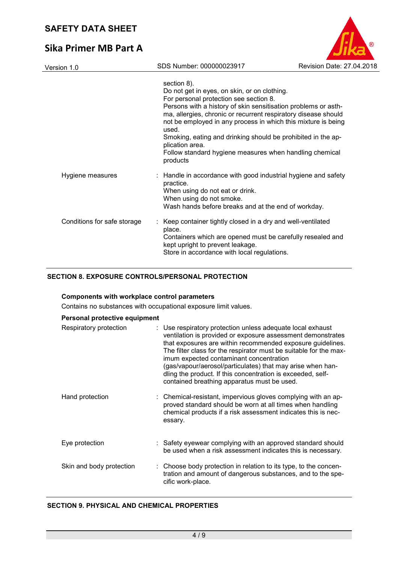# **Sika Primer MB Part A**

| Version 1.0                 | SDS Number: 000000023917                                                                                                                                                                                                                                                                                                                                                                                                                                                      | Revision Date: 27.04.2018 |
|-----------------------------|-------------------------------------------------------------------------------------------------------------------------------------------------------------------------------------------------------------------------------------------------------------------------------------------------------------------------------------------------------------------------------------------------------------------------------------------------------------------------------|---------------------------|
|                             | section 8).<br>Do not get in eyes, on skin, or on clothing.<br>For personal protection see section 8.<br>Persons with a history of skin sensitisation problems or asth-<br>ma, allergies, chronic or recurrent respiratory disease should<br>not be employed in any process in which this mixture is being<br>used.<br>Smoking, eating and drinking should be prohibited in the ap-<br>plication area.<br>Follow standard hygiene measures when handling chemical<br>products |                           |
| Hygiene measures            | : Handle in accordance with good industrial hygiene and safety<br>practice.<br>When using do not eat or drink.<br>When using do not smoke.<br>Wash hands before breaks and at the end of workday.                                                                                                                                                                                                                                                                             |                           |
| Conditions for safe storage | Keep container tightly closed in a dry and well-ventilated<br>place.<br>Containers which are opened must be carefully resealed and<br>kept upright to prevent leakage.<br>Store in accordance with local regulations.                                                                                                                                                                                                                                                         |                           |

B

#### **SECTION 8. EXPOSURE CONTROLS/PERSONAL PROTECTION**

#### **Components with workplace control parameters**

Contains no substances with occupational exposure limit values.

| Personal protective equipment |                                                                                                                                                                                                                                                                                                                                                                                                                                                                                     |
|-------------------------------|-------------------------------------------------------------------------------------------------------------------------------------------------------------------------------------------------------------------------------------------------------------------------------------------------------------------------------------------------------------------------------------------------------------------------------------------------------------------------------------|
| Respiratory protection        | : Use respiratory protection unless adequate local exhaust<br>ventilation is provided or exposure assessment demonstrates<br>that exposures are within recommended exposure guidelines.<br>The filter class for the respirator must be suitable for the max-<br>imum expected contaminant concentration<br>(gas/vapour/aerosol/particulates) that may arise when han-<br>dling the product. If this concentration is exceeded, self-<br>contained breathing apparatus must be used. |
| Hand protection               | : Chemical-resistant, impervious gloves complying with an ap-<br>proved standard should be worn at all times when handling<br>chemical products if a risk assessment indicates this is nec-<br>essary.                                                                                                                                                                                                                                                                              |
| Eye protection                | : Safety eyewear complying with an approved standard should<br>be used when a risk assessment indicates this is necessary.                                                                                                                                                                                                                                                                                                                                                          |
| Skin and body protection      | : Choose body protection in relation to its type, to the concen-<br>tration and amount of dangerous substances, and to the spe-<br>cific work-place.                                                                                                                                                                                                                                                                                                                                |

#### **SECTION 9. PHYSICAL AND CHEMICAL PROPERTIES**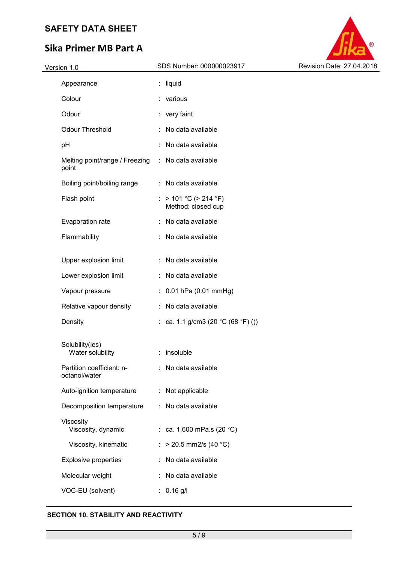# **Sika Primer MB Part A**

| Version 1.0 |  |
|-------------|--|



| Appearance                                 |    | liquid                                          |
|--------------------------------------------|----|-------------------------------------------------|
| Colour                                     |    | various                                         |
| Odour                                      |    | very faint                                      |
| <b>Odour Threshold</b>                     | ÷  | No data available                               |
| рH                                         |    | No data available                               |
| Melting point/range / Freezing<br>point    |    | : No data available                             |
| Boiling point/boiling range                | t. | No data available                               |
| Flash point                                | ÷  | $> 101 °C$ ( $> 214 °F$ )<br>Method: closed cup |
| Evaporation rate                           | t. | No data available                               |
| Flammability                               |    | No data available                               |
|                                            |    |                                                 |
| Upper explosion limit                      |    | No data available                               |
| Lower explosion limit                      |    | No data available                               |
| Vapour pressure                            | ÷  | 0.01 hPa (0.01 mmHg)                            |
| Relative vapour density                    |    | No data available                               |
| Density                                    | t. | ca. 1.1 g/cm3 (20 °C (68 °F) ())                |
|                                            |    |                                                 |
| Solubility(ies)<br>Water solubility        |    | insoluble                                       |
| Partition coefficient: n-<br>octanol/water |    | No data available                               |
| Auto-ignition temperature                  | ÷  | Not applicable                                  |
| Decomposition temperature                  |    | : No data available                             |
| Viscosity<br>Viscosity, dynamic            | t. | ca. 1,600 mPa.s (20 °C)                         |
| Viscosity, kinematic                       |    | $>$ 20.5 mm2/s (40 °C)                          |
| <b>Explosive properties</b>                |    | No data available                               |
| Molecular weight                           |    | No data available                               |
| VOC-EU (solvent)                           | ÷  | $0.16$ g/l                                      |

#### **SECTION 10. STABILITY AND REACTIVITY**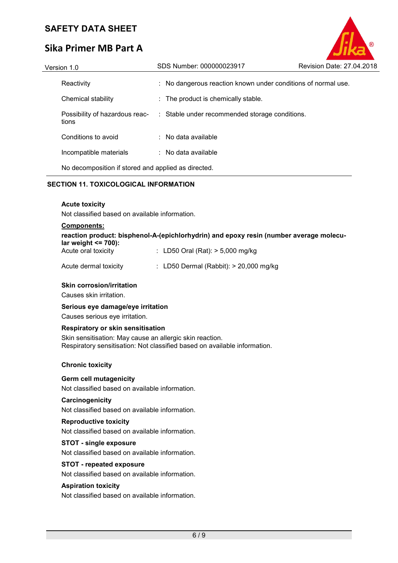# **Sika Primer MB Part A**

| Version 1.0                                         | SDS Number: 000000023917                                      | Revision Date: 27.04.2018 |
|-----------------------------------------------------|---------------------------------------------------------------|---------------------------|
| Reactivity                                          | : No dangerous reaction known under conditions of normal use. |                           |
| Chemical stability                                  | : The product is chemically stable.                           |                           |
| Possibility of hazardous reac-<br>tions             | : Stable under recommended storage conditions.                |                           |
| Conditions to avoid                                 | $\therefore$ No data available                                |                           |
| Incompatible materials                              | $\therefore$ No data available                                |                           |
| No decomposition if stored and applied as directed. |                                                               |                           |

#### **SECTION 11. TOXICOLOGICAL INFORMATION**

#### **Acute toxicity**

Not classified based on available information.

#### **Components:**

|                               | reaction product: bisphenol-A-(epichlorhydrin) and epoxy resin (number average molecu- |  |
|-------------------------------|----------------------------------------------------------------------------------------|--|
| $\lambda$ lar weight <= 700): |                                                                                        |  |
|                               |                                                                                        |  |

| Acute oral toxicity | : LD50 Oral (Rat): $>$ 5,000 mg/kg |
|---------------------|------------------------------------|
|---------------------|------------------------------------|

| Acute dermal toxicity | LD50 Dermal (Rabbit): > 20,000 mg/kg |
|-----------------------|--------------------------------------|
|-----------------------|--------------------------------------|

#### **Skin corrosion/irritation**

Causes skin irritation.

#### **Serious eye damage/eye irritation**

Causes serious eye irritation.

#### **Respiratory or skin sensitisation**

Skin sensitisation: May cause an allergic skin reaction. Respiratory sensitisation: Not classified based on available information.

#### **Chronic toxicity**

#### **Germ cell mutagenicity**

Not classified based on available information.

#### **Carcinogenicity**

Not classified based on available information.

#### **Reproductive toxicity**

Not classified based on available information.

#### **STOT - single exposure**

Not classified based on available information.

#### **STOT - repeated exposure**

Not classified based on available information.

#### **Aspiration toxicity**

Not classified based on available information.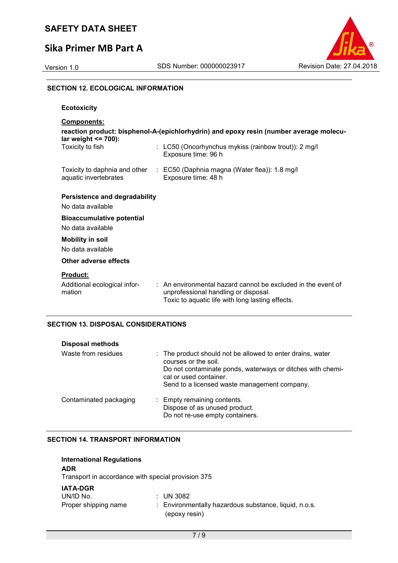## **Sika Primer MB Part A**



#### **SECTION 12. ECOLOGICAL INFORMATION**

| <b>Ecotoxicity</b>                                                                                                                      |                                                                                                                                                                     |  |
|-----------------------------------------------------------------------------------------------------------------------------------------|---------------------------------------------------------------------------------------------------------------------------------------------------------------------|--|
| <b>Components:</b><br>reaction product: bisphenol-A-(epichlorhydrin) and epoxy resin (number average molecu-<br>lar weight $\leq$ 700): |                                                                                                                                                                     |  |
| Toxicity to fish                                                                                                                        | : LC50 (Oncorhynchus mykiss (rainbow trout)): 2 mg/l<br>Exposure time: 96 h                                                                                         |  |
| aquatic invertebrates                                                                                                                   | Toxicity to daphnia and other : EC50 (Daphnia magna (Water flea)): 1.8 mg/l<br>Exposure time: 48 h                                                                  |  |
| <b>Persistence and degradability</b><br>No data available                                                                               |                                                                                                                                                                     |  |
| <b>Bioaccumulative potential</b><br>No data available                                                                                   |                                                                                                                                                                     |  |
| <b>Mobility in soil</b><br>No data available                                                                                            |                                                                                                                                                                     |  |
| Other adverse effects                                                                                                                   |                                                                                                                                                                     |  |
| <b>Product:</b><br>Additional ecological infor-<br>mation                                                                               | $\therefore$ An environmental hazard cannot be excluded in the event of<br>unprofessional handling or disposal.<br>Toxic to aquatic life with long lasting effects. |  |

#### **SECTION 13. DISPOSAL CONSIDERATIONS**

| <b>Disposal methods</b> |                                                                                                                                                                                                                            |
|-------------------------|----------------------------------------------------------------------------------------------------------------------------------------------------------------------------------------------------------------------------|
| Waste from residues     | : The product should not be allowed to enter drains, water<br>courses or the soil.<br>Do not contaminate ponds, waterways or ditches with chemi-<br>cal or used container.<br>Send to a licensed waste management company. |
| Contaminated packaging  | : Empty remaining contents.<br>Dispose of as unused product.<br>Do not re-use empty containers.                                                                                                                            |

#### **SECTION 14. TRANSPORT INFORMATION**

| <b>International Regulations</b><br><b>ADR</b><br>Transport in accordance with special provision 375 |                                                       |
|------------------------------------------------------------------------------------------------------|-------------------------------------------------------|
| <b>IATA-DGR</b>                                                                                      | $\therefore$ UN 3082                                  |
| UN/ID No.                                                                                            | : Environmentally hazardous substance, liquid, n.o.s. |
| Proper shipping name                                                                                 | (epoxy resin)                                         |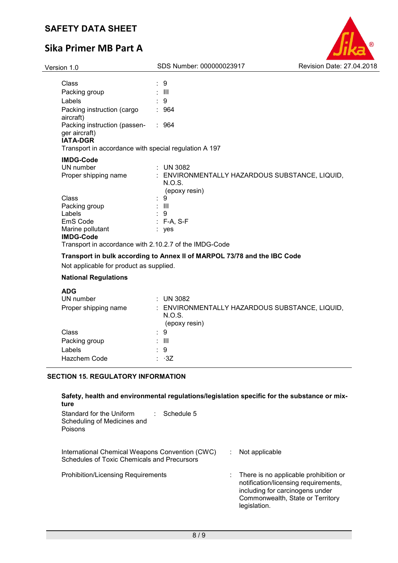# **Sika Primer MB Part A**



| Version 1.0                                                      | SDS Number: 000000023917                                                  | Revision Date: 27.04.2018 |
|------------------------------------------------------------------|---------------------------------------------------------------------------|---------------------------|
|                                                                  |                                                                           |                           |
| Class                                                            | $\therefore$ 9                                                            |                           |
| Packing group                                                    | : III                                                                     |                           |
| Labels                                                           | :9                                                                        |                           |
| Packing instruction (cargo<br>aircraft)                          | $\therefore$ 964                                                          |                           |
| Packing instruction (passen-<br>ger aircraft)<br><b>IATA-DGR</b> | .964                                                                      |                           |
| Transport in accordance with special regulation A 197            |                                                                           |                           |
| <b>IMDG-Code</b>                                                 |                                                                           |                           |
| UN number                                                        | $\therefore$ UN 3082                                                      |                           |
| Proper shipping name                                             | : ENVIRONMENTALLY HAZARDOUS SUBSTANCE, LIQUID,<br>N.O.S.<br>(epoxy resin) |                           |
| Class                                                            | 9<br>÷                                                                    |                           |
| Packing group                                                    | : III                                                                     |                           |
| Labels                                                           | 9                                                                         |                           |
| EmS Code                                                         | $:$ F-A, S-F                                                              |                           |
| Marine pollutant                                                 | : yes                                                                     |                           |
| <b>IMDG-Code</b>                                                 |                                                                           |                           |
| Transport in accordance with 2.10.2.7 of the IMDG-Code           |                                                                           |                           |
|                                                                  | Transport in bulk according to Annex II of MARPOL 73/78 and the IBC Code  |                           |
| Not applicable for product as supplied.                          |                                                                           |                           |
|                                                                  |                                                                           |                           |

#### **National Regulations**

| <b>ADG</b>           |                                                                           |
|----------------------|---------------------------------------------------------------------------|
| UN number            | $:$ UN 3082                                                               |
| Proper shipping name | : ENVIRONMENTALLY HAZARDOUS SUBSTANCE, LIQUID,<br>N.O.S.<br>(epoxy resin) |
| Class                | : 9                                                                       |
| Packing group        | : III                                                                     |
| Labels               | : 9                                                                       |
| Hazchem Code         | : ∙3Z                                                                     |
|                      |                                                                           |

#### **SECTION 15. REGULATORY INFORMATION**

#### **Safety, health and environmental regulations/legislation specific for the substance or mixture**

| Standard for the Uniform<br>Schedule 5<br>Scheduling of Medicines and<br>Poisons               |  |                                                                                                                                                                      |
|------------------------------------------------------------------------------------------------|--|----------------------------------------------------------------------------------------------------------------------------------------------------------------------|
| International Chemical Weapons Convention (CWC)<br>Schedules of Toxic Chemicals and Precursors |  | Not applicable                                                                                                                                                       |
| <b>Prohibition/Licensing Requirements</b>                                                      |  | There is no applicable prohibition or<br>notification/licensing requirements,<br>including for carcinogens under<br>Commonwealth, State or Territory<br>legislation. |